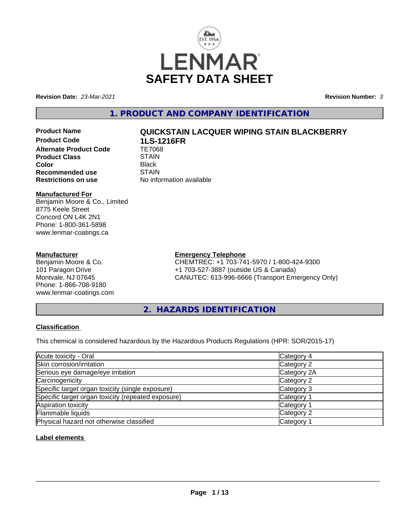

**Revision Date:** *23-Mar-2021* **Revision Number:** *3*

**1. PRODUCT AND COMPANY IDENTIFICATION**

**Product Code 1LS-1216FR Alternate Product Code Product Class STAIN STAIN**<br> **Color** Black **Color** Black **Recommended use** STAIN<br> **Restrictions on use** No info

# **Product Name QUICKSTAIN LACQUER WIPING STAIN BLACKBERRY**

**No information available** 

# **Manufactured For**

Benjamin Moore & Co., Limited 8775 Keele Street Concord ON L4K 2N1 Phone: 1-800-361-5898 www.lenmar-coatings.ca

# **Manufacturer**

Benjamin Moore & Co. 101 Paragon Drive Montvale, NJ 07645 Phone: 1-866-708-9180 www.lenmar-coatings.com

# **Emergency Telephone**

CHEMTREC: +1 703-741-5970 / 1-800-424-9300 +1 703-527-3887 (outside US & Canada) CANUTEC: 613-996-6666 (Transport Emergency Only)

**2. HAZARDS IDENTIFICATION**

# **Classification**

This chemical is considered hazardous by the Hazardous Products Regulations (HPR: SOR/2015-17)

| Acute toxicity - Oral                              | Category 4            |
|----------------------------------------------------|-----------------------|
| Skin corrosion/irritation                          | Category 2            |
| Serious eye damage/eye irritation                  | Category 2A           |
| Carcinogenicity                                    | Category 2            |
| Specific target organ toxicity (single exposure)   | Category 3            |
| Specific target organ toxicity (repeated exposure) | Category 1            |
| Aspiration toxicity                                | Category <sup>2</sup> |
| Flammable liquids                                  | Category 2            |
| Physical hazard not otherwise classified           | Category <sup>2</sup> |

# **Label elements**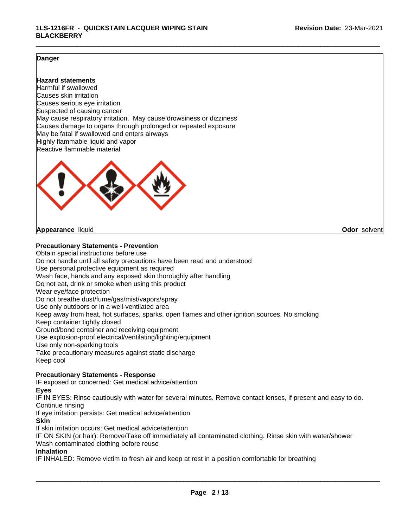### **Danger**

### **Hazard statements**

Harmful if swallowed Causes skin irritation Causes serious eye irritation Suspected of causing cancer May cause respiratory irritation. May cause drowsiness or dizziness Causes damage to organs through prolonged or repeated exposure May be fatal if swallowed and enters airways Highly flammable liquid and vapor Reactive flammable material



#### **Appearance** liquid **Odor** solvent

#### **Precautionary Statements - Prevention**

Obtain special instructions before use Do not handle until all safety precautions have been read and understood Use personal protective equipment as required Wash face, hands and any exposed skin thoroughly after handling Do not eat, drink or smoke when using this product Wear eye/face protection Do not breathe dust/fume/gas/mist/vapors/spray Use only outdoors or in a well-ventilated area Keep away from heat, hot surfaces, sparks, open flames and other ignition sources. No smoking Keep container tightly closed Ground/bond container and receiving equipment Use explosion-proof electrical/ventilating/lighting/equipment Use only non-sparking tools Take precautionary measures against static discharge Keep cool

# **Precautionary Statements - Response**

IF exposed or concerned: Get medical advice/attention

#### **Eyes**

IF IN EYES: Rinse cautiously with water for several minutes. Remove contact lenses, if present and easy to do. Continue rinsing

If eye irritation persists: Get medical advice/attention

#### **Skin**

If skin irritation occurs: Get medical advice/attention

IF ON SKIN (or hair): Remove/Take off immediately all contaminated clothing. Rinse skin with water/shower Wash contaminated clothing before reuse

#### **Inhalation**

IF INHALED: Remove victim to fresh air and keep at rest in a position comfortable for breathing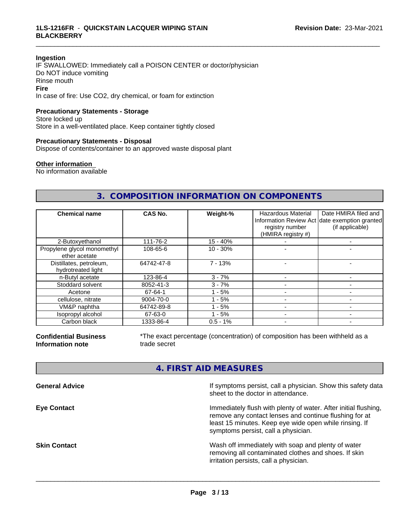#### **Ingestion**

IF SWALLOWED: Immediately call a POISON CENTER or doctor/physician Do NOT induce vomiting Rinse mouth **Fire** In case of fire: Use CO2, dry chemical, or foam for extinction

# **Precautionary Statements - Storage**

Store locked up Store in a well-ventilated place. Keep container tightly closed

#### **Precautionary Statements - Disposal**

Dispose of contents/container to an approved waste disposal plant

#### **Other information**

No information available

# **3. COMPOSITION INFORMATION ON COMPONENTS**

\_\_\_\_\_\_\_\_\_\_\_\_\_\_\_\_\_\_\_\_\_\_\_\_\_\_\_\_\_\_\_\_\_\_\_\_\_\_\_\_\_\_\_\_\_\_\_\_\_\_\_\_\_\_\_\_\_\_\_\_\_\_\_\_\_\_\_\_\_\_\_\_\_\_\_\_\_\_\_\_\_\_\_\_\_\_\_\_\_\_\_\_\_

| <b>Chemical name</b>                          | <b>CAS No.</b> | Weight-%    | <b>Hazardous Material</b><br>registry number<br>(HMIRA registry #) | Date HMIRA filed and<br>Information Review Act date exemption granted<br>(if applicable) |
|-----------------------------------------------|----------------|-------------|--------------------------------------------------------------------|------------------------------------------------------------------------------------------|
| 2-Butoxyethanol                               | 111-76-2       | $15 - 40%$  |                                                                    |                                                                                          |
| Propylene glycol monomethyl<br>ether acetate  | 108-65-6       | $10 - 30%$  |                                                                    |                                                                                          |
| Distillates, petroleum,<br>hydrotreated light | 64742-47-8     | $7 - 13%$   |                                                                    |                                                                                          |
| n-Butyl acetate                               | 123-86-4       | $3 - 7%$    |                                                                    |                                                                                          |
| Stoddard solvent                              | 8052-41-3      | $3 - 7%$    |                                                                    |                                                                                          |
| Acetone                                       | 67-64-1        | $1 - 5%$    |                                                                    |                                                                                          |
| cellulose, nitrate                            | 9004-70-0      | $1 - 5%$    |                                                                    |                                                                                          |
| VM&P naphtha                                  | 64742-89-8     | - 5%        |                                                                    |                                                                                          |
| Isopropyl alcohol                             | 67-63-0        | $1 - 5%$    |                                                                    |                                                                                          |
| Carbon black                                  | 1333-86-4      | $0.5 - 1\%$ |                                                                    |                                                                                          |

**Confidential Business Information note**

\*The exact percentage (concentration) of composition has been withheld as a trade secret

# **4. FIRST AID MEASURES**

| <b>General Advice</b> | If symptoms persist, call a physician. Show this safety data<br>sheet to the doctor in attendance.                                                                                                                         |
|-----------------------|----------------------------------------------------------------------------------------------------------------------------------------------------------------------------------------------------------------------------|
| <b>Eye Contact</b>    | Immediately flush with plenty of water. After initial flushing,<br>remove any contact lenses and continue flushing for at<br>least 15 minutes. Keep eye wide open while rinsing. If<br>symptoms persist, call a physician. |
| Skin Contact          | Wash off immediately with soap and plenty of water<br>removing all contaminated clothes and shoes. If skin<br>irritation persists, call a physician.                                                                       |
|                       |                                                                                                                                                                                                                            |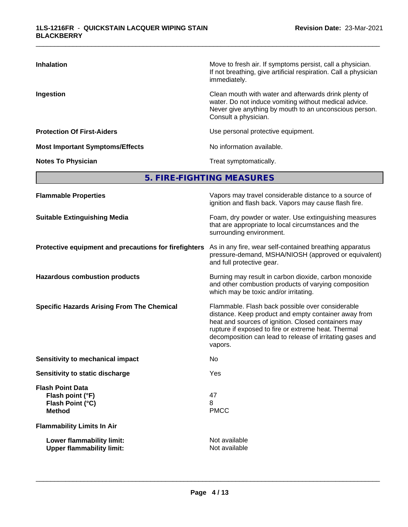| <b>Inhalation</b>                      | Move to fresh air. If symptoms persist, call a physician.<br>If not breathing, give artificial respiration. Call a physician<br>immediately.                                                     |
|----------------------------------------|--------------------------------------------------------------------------------------------------------------------------------------------------------------------------------------------------|
| Ingestion                              | Clean mouth with water and afterwards drink plenty of<br>water. Do not induce vomiting without medical advice.<br>Never give anything by mouth to an unconscious person.<br>Consult a physician. |
| <b>Protection Of First-Aiders</b>      | Use personal protective equipment.                                                                                                                                                               |
| <b>Most Important Symptoms/Effects</b> | No information available.                                                                                                                                                                        |
| <b>Notes To Physician</b>              | Treat symptomatically.                                                                                                                                                                           |

**5. FIRE-FIGHTING MEASURES**

| <b>Flammable Properties</b>                                                      | Vapors may travel considerable distance to a source of<br>ignition and flash back. Vapors may cause flash fire.                                                                                                                                                                                |
|----------------------------------------------------------------------------------|------------------------------------------------------------------------------------------------------------------------------------------------------------------------------------------------------------------------------------------------------------------------------------------------|
| <b>Suitable Extinguishing Media</b>                                              | Foam, dry powder or water. Use extinguishing measures<br>that are appropriate to local circumstances and the<br>surrounding environment.                                                                                                                                                       |
| Protective equipment and precautions for firefighters                            | As in any fire, wear self-contained breathing apparatus<br>pressure-demand, MSHA/NIOSH (approved or equivalent)<br>and full protective gear.                                                                                                                                                   |
| <b>Hazardous combustion products</b>                                             | Burning may result in carbon dioxide, carbon monoxide<br>and other combustion products of varying composition<br>which may be toxic and/or irritating.                                                                                                                                         |
| <b>Specific Hazards Arising From The Chemical</b>                                | Flammable. Flash back possible over considerable<br>distance. Keep product and empty container away from<br>heat and sources of ignition. Closed containers may<br>rupture if exposed to fire or extreme heat. Thermal<br>decomposition can lead to release of irritating gases and<br>vapors. |
| <b>Sensitivity to mechanical impact</b>                                          | No.                                                                                                                                                                                                                                                                                            |
| Sensitivity to static discharge                                                  | Yes                                                                                                                                                                                                                                                                                            |
| <b>Flash Point Data</b><br>Flash point (°F)<br>Flash Point (°C)<br><b>Method</b> | 47<br>8<br><b>PMCC</b>                                                                                                                                                                                                                                                                         |
| <b>Flammability Limits In Air</b>                                                |                                                                                                                                                                                                                                                                                                |
| Lower flammability limit:<br><b>Upper flammability limit:</b>                    | Not available<br>Not available                                                                                                                                                                                                                                                                 |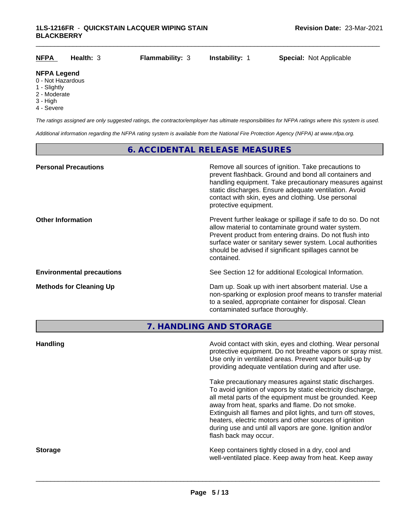| <b>NFPA</b>                                             | Health: 3 | <b>Flammability: 3</b> | Instability: 1 | <b>Special: Not Applicable</b> |
|---------------------------------------------------------|-----------|------------------------|----------------|--------------------------------|
| <b>NFPA Legend</b><br>0 - Not Hazardous<br>1 - Slightly |           |                        |                |                                |

- 
- 2 Moderate
- 3 High
- 4 Severe

*The ratings assigned are only suggested ratings, the contractor/employer has ultimate responsibilities for NFPA ratings where this system is used.*

*Additional information regarding the NFPA rating system is available from the National Fire Protection Agency (NFPA) at www.nfpa.org.*

# **6. ACCIDENTAL RELEASE MEASURES**

| <b>Personal Precautions</b>      | Remove all sources of ignition. Take precautions to<br>prevent flashback. Ground and bond all containers and<br>handling equipment. Take precautionary measures against<br>static discharges. Ensure adequate ventilation. Avoid<br>contact with skin, eyes and clothing. Use personal<br>protective equipment.  |
|----------------------------------|------------------------------------------------------------------------------------------------------------------------------------------------------------------------------------------------------------------------------------------------------------------------------------------------------------------|
| <b>Other Information</b>         | Prevent further leakage or spillage if safe to do so. Do not<br>allow material to contaminate ground water system.<br>Prevent product from entering drains. Do not flush into<br>surface water or sanitary sewer system. Local authorities<br>should be advised if significant spillages cannot be<br>contained. |
| <b>Environmental precautions</b> | See Section 12 for additional Ecological Information.                                                                                                                                                                                                                                                            |
| <b>Methods for Cleaning Up</b>   | Dam up. Soak up with inert absorbent material. Use a<br>non-sparking or explosion proof means to transfer material<br>to a sealed, appropriate container for disposal. Clean<br>contaminated surface thoroughly.                                                                                                 |

**7. HANDLING AND STORAGE**

| <b>Handling</b> | Avoid contact with skin, eyes and clothing. Wear personal<br>protective equipment. Do not breathe vapors or spray mist.<br>Use only in ventilated areas. Prevent vapor build-up by<br>providing adequate ventilation during and after use.                                                                                                                                                                                                           |
|-----------------|------------------------------------------------------------------------------------------------------------------------------------------------------------------------------------------------------------------------------------------------------------------------------------------------------------------------------------------------------------------------------------------------------------------------------------------------------|
|                 | Take precautionary measures against static discharges.<br>To avoid ignition of vapors by static electricity discharge,<br>all metal parts of the equipment must be grounded. Keep<br>away from heat, sparks and flame. Do not smoke.<br>Extinguish all flames and pilot lights, and turn off stoves,<br>heaters, electric motors and other sources of ignition<br>during use and until all vapors are gone. Ignition and/or<br>flash back may occur. |
| <b>Storage</b>  | Keep containers tightly closed in a dry, cool and<br>well-ventilated place. Keep away from heat. Keep away                                                                                                                                                                                                                                                                                                                                           |
|                 |                                                                                                                                                                                                                                                                                                                                                                                                                                                      |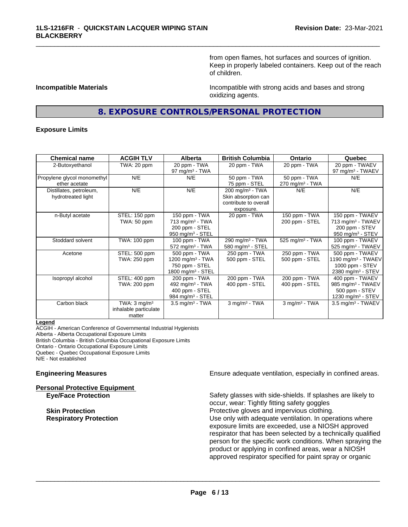from open flames, hot surfaces and sources of ignition. Keep in properly labeled containers. Keep out of the reach of children.

**Incompatible Materials Incompatible with strong acids and bases and strong** oxidizing agents.

# **8. EXPOSURE CONTROLS/PERSONAL PROTECTION**

\_\_\_\_\_\_\_\_\_\_\_\_\_\_\_\_\_\_\_\_\_\_\_\_\_\_\_\_\_\_\_\_\_\_\_\_\_\_\_\_\_\_\_\_\_\_\_\_\_\_\_\_\_\_\_\_\_\_\_\_\_\_\_\_\_\_\_\_\_\_\_\_\_\_\_\_\_\_\_\_\_\_\_\_\_\_\_\_\_\_\_\_\_

#### **Exposure Limits**

| <b>Chemical name</b>        | <b>ACGIH TLV</b>        | Alberta                         | <b>British Columbia</b>       | <b>Ontario</b>                | Quebec                          |
|-----------------------------|-------------------------|---------------------------------|-------------------------------|-------------------------------|---------------------------------|
| 2-Butoxyethanol             | TWA: 20 ppm             | 20 ppm - TWA                    | 20 ppm - TWA                  | 20 ppm - TWA                  | 20 ppm - TWAEV                  |
|                             |                         | 97 mg/m $3$ - TWA               |                               |                               | 97 mg/m <sup>3</sup> - TWAEV    |
| Propylene glycol monomethyl | N/E                     | N/E                             | 50 ppm - TWA                  | 50 ppm - TWA                  | N/E                             |
| ether acetate               |                         |                                 | 75 ppm - STEL                 | $270$ mg/m <sup>3</sup> - TWA |                                 |
| Distillates, petroleum,     | N/E                     | N/E                             | $200$ mg/m <sup>3</sup> - TWA | N/E                           | N/E                             |
| hydrotreated light          |                         |                                 | Skin absorption can           |                               |                                 |
|                             |                         |                                 | contribute to overall         |                               |                                 |
|                             |                         |                                 | exposure.                     |                               |                                 |
| n-Butyl acetate             | STEL: 150 ppm           | 150 ppm - TWA                   | 20 ppm - TWA                  | 150 ppm - TWA                 | 150 ppm - TWAEV                 |
|                             | TWA: 50 ppm             | 713 mg/m <sup>3</sup> - TWA     |                               | 200 ppm - STEL                | 713 mg/m <sup>3</sup> - TWAEV   |
|                             |                         | 200 ppm - STEL                  |                               |                               | 200 ppm - STEV                  |
|                             |                         | 950 mg/m $3 -$ STEL             |                               |                               | 950 mg/m <sup>3</sup> - STEV    |
| Stoddard solvent            | TWA: 100 ppm            | 100 ppm - TWA                   | 290 mg/m <sup>3</sup> - TWA   | 525 mg/m <sup>3</sup> - TWA   | 100 ppm - TWAEV                 |
|                             |                         | $572$ mg/m <sup>3</sup> - TWA   | 580 mg/m $3 -$ STEL           |                               | $525$ mg/m <sup>3</sup> - TWAEV |
| Acetone                     | STEL: 500 ppm           | 500 ppm - TWA                   | 250 ppm - TWA                 | 250 ppm - TWA                 | 500 ppm - TWAEV                 |
|                             | TWA: 250 ppm            | 1200 mg/m <sup>3</sup> - TWA    | 500 ppm - STEL                | 500 ppm - STEL                | 1190 mg/m $3$ - TWAEV           |
|                             |                         | 750 ppm - STEL                  |                               |                               | 1000 ppm - STEV                 |
|                             |                         | $1800$ mg/m <sup>3</sup> - STEL |                               |                               | 2380 mg/m <sup>3</sup> - STEV   |
| Isopropyl alcohol           | STEL: 400 ppm           | 200 ppm - TWA                   | 200 ppm - TWA                 | 200 ppm - TWA                 | 400 ppm - TWAEV                 |
|                             | TWA: 200 ppm            | 492 mg/m <sup>3</sup> - TWA     | 400 ppm - STEL                | 400 ppm - STEL                | 985 mg/m <sup>3</sup> - TWAEV   |
|                             |                         | 400 ppm - STEL                  |                               |                               | 500 ppm - STEV                  |
|                             |                         | 984 mg/m <sup>3</sup> - STEL    |                               |                               | 1230 mg/m <sup>3</sup> - STEV   |
| Carbon black                | TWA: $3 \text{ mq/m}^3$ | $3.5 \text{ mg/m}^3$ - TWA      | $3$ mg/m $3$ - TWA            | $3$ mg/m $3$ - TWA            | $3.5$ mg/m <sup>3</sup> - TWAEV |
|                             | inhalable particulate   |                                 |                               |                               |                                 |
|                             | matter                  |                                 |                               |                               |                                 |

#### **Legend**

ACGIH - American Conference of Governmental Industrial Hygienists Alberta - Alberta Occupational Exposure Limits British Columbia - British Columbia Occupational Exposure Limits Ontario - Ontario Occupational Exposure Limits Quebec - Quebec Occupational Exposure Limits N/E - Not established

**Personal Protective Equipment**

**Engineering Measures Ensure adequate ventilation, especially in confined areas.** 

**Eye/Face Protection** Safety glasses with side-shields. If splashes are likely to occur, wear: Tightly fitting safety goggles **Skin Protection Protection Protective gloves and impervious clothing. Respiratory Protection Number 1** (Use only with adequate ventilation. In operations where exposure limits are exceeded, use a NIOSH approved respirator that has been selected by a technically qualified person for the specific work conditions. When spraying the product or applying in confined areas, wear a NIOSH approved respirator specified for paint spray or organic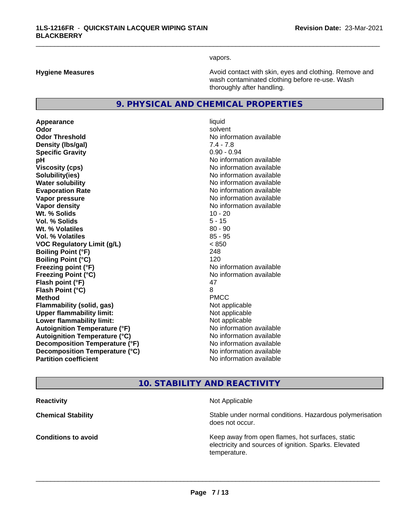vapors.

\_\_\_\_\_\_\_\_\_\_\_\_\_\_\_\_\_\_\_\_\_\_\_\_\_\_\_\_\_\_\_\_\_\_\_\_\_\_\_\_\_\_\_\_\_\_\_\_\_\_\_\_\_\_\_\_\_\_\_\_\_\_\_\_\_\_\_\_\_\_\_\_\_\_\_\_\_\_\_\_\_\_\_\_\_\_\_\_\_\_\_\_\_

**Hygiene Measures Avoid contact with skin, eyes and clothing. Remove and Avoid contact with skin, eyes and clothing. Remove and Avoid contact with skin, eyes and clothing. Remove and** wash contaminated clothing before re-use. Wash thoroughly after handling.

# **9. PHYSICAL AND CHEMICAL PROPERTIES**

**Appearance** liquid **Odor** solvent **Odor Threshold** No information available **Density (lbs/gal)** 7.4 - 7.8 **Specific Gravity** 0.90 - 0.94 **pH** No information available **Viscosity (cps)** No information available **Solubility(ies)** No information available **Water solubility** No information available **Evaporation Rate Evaporation Rate No information available Vapor pressure** No information available in the North American Monte available in the North American available **Vapor density No information available No information available Wt.** % Solids 10 - 20 **Vol. % Solids** 5 - 15 **W<sub>t.</sub> % Volatiles 80 - 90 Vol. % Volatiles** 85 - 95 **VOC Regulatory Limit (g/L)** < 850 **Boiling Point (°F)** 248 **Boiling Point (°C)** 120 **Freezing point (°F)** No information available **Freezing Point (°C)** No information available **Flash point (°F)** 47 **Flash Point (°C)** 8 **Method** PMCC **Flammability (solid, gas)** Not applicable **Upper flammability limit:** Not applicable **Lower flammability limit:** Not applicable **Autoignition Temperature (°F)** No information available **Autoignition Temperature (°C)** No information available **Decomposition Temperature (°F)** No information available **Decomposition Temperature (°C)** No information available<br> **Partition coefficient Partition available** 

**No information available** 

# **10. STABILITY AND REACTIVITY**

**Reactivity Not Applicable Not Applicable** 

 $\overline{\phantom{a}}$  ,  $\overline{\phantom{a}}$  ,  $\overline{\phantom{a}}$  ,  $\overline{\phantom{a}}$  ,  $\overline{\phantom{a}}$  ,  $\overline{\phantom{a}}$  ,  $\overline{\phantom{a}}$  ,  $\overline{\phantom{a}}$  ,  $\overline{\phantom{a}}$  ,  $\overline{\phantom{a}}$  ,  $\overline{\phantom{a}}$  ,  $\overline{\phantom{a}}$  ,  $\overline{\phantom{a}}$  ,  $\overline{\phantom{a}}$  ,  $\overline{\phantom{a}}$  ,  $\overline{\phantom{a}}$ 

**Chemical Stability Chemical Stability** Stable under normal conditions. Hazardous polymerisation does not occur.

**Conditions to avoid Conditions to avoid Reseau All Static Reseau All Keep away from open flames, hot surfaces, static <b>Conditions** electricity and sources of ignition. Sparks. Elevated temperature.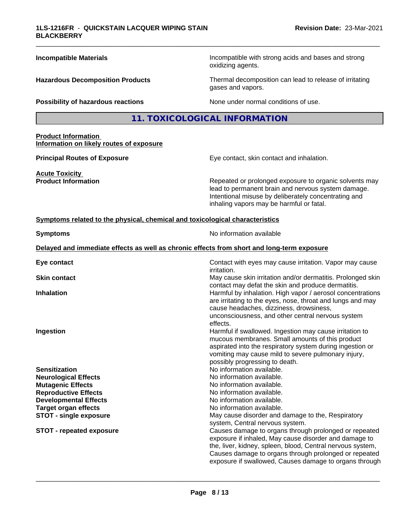| <b>Incompatible Materials</b>                                                              | Incompatible with strong acids and bases and strong<br>oxidizing agents.                                                                                                                                                                                                                        |
|--------------------------------------------------------------------------------------------|-------------------------------------------------------------------------------------------------------------------------------------------------------------------------------------------------------------------------------------------------------------------------------------------------|
| <b>Hazardous Decomposition Products</b>                                                    | Thermal decomposition can lead to release of irritating<br>gases and vapors.                                                                                                                                                                                                                    |
| Possibility of hazardous reactions                                                         | None under normal conditions of use.                                                                                                                                                                                                                                                            |
|                                                                                            | 11. TOXICOLOGICAL INFORMATION                                                                                                                                                                                                                                                                   |
| <b>Product Information</b><br>Information on likely routes of exposure                     |                                                                                                                                                                                                                                                                                                 |
| <b>Principal Routes of Exposure</b>                                                        | Eye contact, skin contact and inhalation.                                                                                                                                                                                                                                                       |
| <b>Acute Toxicity</b><br><b>Product Information</b>                                        | Repeated or prolonged exposure to organic solvents may<br>lead to permanent brain and nervous system damage.<br>Intentional misuse by deliberately concentrating and<br>inhaling vapors may be harmful or fatal.                                                                                |
| Symptoms related to the physical, chemical and toxicological characteristics               |                                                                                                                                                                                                                                                                                                 |
| <b>Symptoms</b>                                                                            | No information available                                                                                                                                                                                                                                                                        |
| Delayed and immediate effects as well as chronic effects from short and long-term exposure |                                                                                                                                                                                                                                                                                                 |
| Eye contact                                                                                | Contact with eyes may cause irritation. Vapor may cause<br><i>irritation.</i>                                                                                                                                                                                                                   |
| <b>Skin contact</b>                                                                        | May cause skin irritation and/or dermatitis. Prolonged skin<br>contact may defat the skin and produce dermatitis.                                                                                                                                                                               |
| <b>Inhalation</b>                                                                          | Harmful by inhalation. High vapor / aerosol concentrations<br>are irritating to the eyes, nose, throat and lungs and may<br>cause headaches, dizziness, drowsiness,<br>unconsciousness, and other central nervous system<br>effects.                                                            |
| Ingestion                                                                                  | Harmful if swallowed. Ingestion may cause irritation to<br>mucous membranes. Small amounts of this product<br>aspirated into the respiratory system during ingestion or<br>vomiting may cause mild to severe pulmonary injury,<br>possibly progressing to death.                                |
| <b>Sensitization</b>                                                                       | No information available.                                                                                                                                                                                                                                                                       |
| <b>Neurological Effects</b>                                                                | No information available.                                                                                                                                                                                                                                                                       |
| <b>Mutagenic Effects</b>                                                                   | No information available.                                                                                                                                                                                                                                                                       |
| <b>Reproductive Effects</b>                                                                | No information available.<br>No information available.                                                                                                                                                                                                                                          |
| <b>Developmental Effects</b><br><b>Target organ effects</b>                                | No information available.                                                                                                                                                                                                                                                                       |
| <b>STOT - single exposure</b>                                                              | May cause disorder and damage to the, Respiratory                                                                                                                                                                                                                                               |
|                                                                                            | system, Central nervous system.                                                                                                                                                                                                                                                                 |
| <b>STOT - repeated exposure</b>                                                            | Causes damage to organs through prolonged or repeated<br>exposure if inhaled, May cause disorder and damage to<br>the, liver, kidney, spleen, blood, Central nervous system,<br>Causes damage to organs through prolonged or repeated<br>exposure if swallowed, Causes damage to organs through |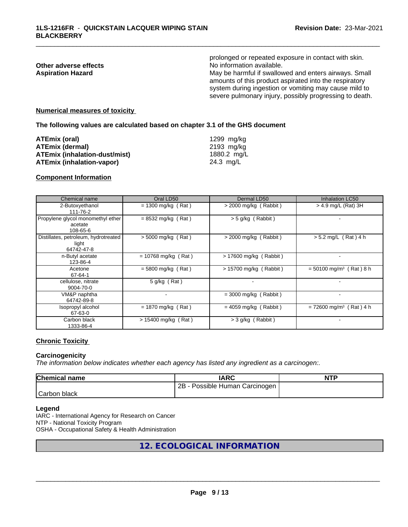|                          | prolonged or repeated exposure in contact with skin.                                                                                                                                                                                |
|--------------------------|-------------------------------------------------------------------------------------------------------------------------------------------------------------------------------------------------------------------------------------|
| Other adverse effects    | No information available.                                                                                                                                                                                                           |
| <b>Aspiration Hazard</b> | May be harmful if swallowed and enters airways. Small<br>amounts of this product aspirated into the respiratory<br>system during ingestion or vomiting may cause mild to<br>severe pulmonary injury, possibly progressing to death. |
|                          |                                                                                                                                                                                                                                     |

#### **Numerical measures of toxicity**

**The following values are calculated based on chapter 3.1 of the GHS document**

| ATEmix (oral)                        | 1299 mg/ka  |
|--------------------------------------|-------------|
| <b>ATEmix (dermal)</b>               | 2193 mg/kg  |
| <b>ATEmix (inhalation-dust/mist)</b> | 1880.2 mg/L |
| ATEmix (inhalation-vapor)            | 24.3 mg/L   |

#### **Component Information**

| Chemical name                                               | Oral LD50                | Dermal LD50              | <b>Inhalation LC50</b>                |
|-------------------------------------------------------------|--------------------------|--------------------------|---------------------------------------|
| 2-Butoxyethanol<br>111-76-2                                 | $= 1300$ mg/kg (Rat)     | $>$ 2000 mg/kg (Rabbit)  | $>$ 4.9 mg/L (Rat) 3H                 |
| Propylene glycol monomethyl ether<br>acetate<br>108-65-6    | $= 8532$ mg/kg (Rat)     | $>$ 5 g/kg (Rabbit)      |                                       |
| Distillates, petroleum, hydrotreated<br>light<br>64742-47-8 | $> 5000$ mg/kg (Rat)     | $>$ 2000 mg/kg (Rabbit)  | $> 5.2$ mg/L (Rat) 4 h                |
| n-Butyl acetate<br>123-86-4                                 | $= 10768$ mg/kg (Rat)    | $> 17600$ mg/kg (Rabbit) |                                       |
| Acetone<br>67-64-1                                          | $= 5800$ mg/kg (Rat)     | > 15700 mg/kg (Rabbit)   | $= 50100$ mg/m <sup>3</sup> (Rat) 8 h |
| cellulose, nitrate<br>9004-70-0                             | $5$ g/kg (Rat)           | $\blacksquare$           |                                       |
| VM&P naphtha<br>64742-89-8                                  | $\overline{\phantom{a}}$ | $=$ 3000 mg/kg (Rabbit)  |                                       |
| Isopropyl alcohol<br>67-63-0                                | $= 1870$ mg/kg (Rat)     | $= 4059$ mg/kg (Rabbit)  | $= 72600$ mg/m <sup>3</sup> (Rat) 4 h |
| Carbon black<br>1333-86-4                                   | $> 15400$ mg/kg (Rat)    | > 3 g/kg (Rabbit)        |                                       |

#### **Chronic Toxicity**

### **Carcinogenicity**

*The information below indicateswhether each agency has listed any ingredient as a carcinogen:.*

| <b>Chemical name</b> | IARC                            | <b>NTP</b> |
|----------------------|---------------------------------|------------|
|                      | 2B<br>Possible Human Carcinogen |            |
| Carbon<br>black      |                                 |            |

#### **Legend**

IARC - International Agency for Research on Cancer NTP - National Toxicity Program OSHA - Occupational Safety & Health Administration

# **12. ECOLOGICAL INFORMATION**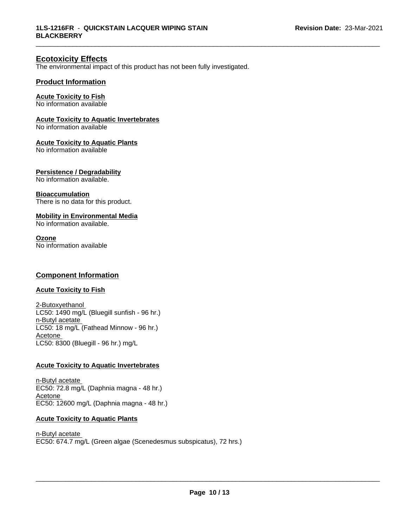# **Ecotoxicity Effects**

The environmental impact of this product has not been fully investigated.

### **Product Information**

### **Acute Toxicity to Fish**

No information available

#### **Acute Toxicity to Aquatic Invertebrates**

No information available

#### **Acute Toxicity to Aquatic Plants**

No information available

#### **Persistence / Degradability**

No information available.

#### **Bioaccumulation**

There is no data for this product.

### **Mobility in Environmental Media**

No information available.

#### **Ozone**

No information available

# **Component Information**

# **Acute Toxicity to Fish**

2-Butoxyethanol LC50: 1490 mg/L (Bluegill sunfish - 96 hr.) n-Butyl acetate LC50: 18 mg/L (Fathead Minnow - 96 hr.) Acetone LC50: 8300 (Bluegill - 96 hr.) mg/L

#### **Acute Toxicity to Aquatic Invertebrates**

n-Butyl acetate EC50: 72.8 mg/L (Daphnia magna - 48 hr.) Acetone EC50: 12600 mg/L (Daphnia magna - 48 hr.)

#### **Acute Toxicity to Aquatic Plants**

n-Butyl acetate EC50: 674.7 mg/L (Green algae (Scenedesmus subspicatus), 72 hrs.)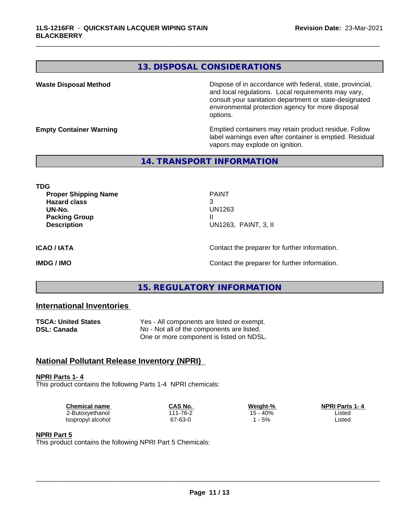# **13. DISPOSAL CONSIDERATIONS**

**Waste Disposal Method Dispose of in accordance with federal, state, provincial,** and local regulations. Local requirements may vary, consult your sanitation department or state-designated environmental protection agency for more disposal options.

**Empty Container Warning <b>Emptied** Containers may retain product residue. Follow label warnings even after container is emptied. Residual vapors may explode on ignition.

# **14. TRANSPORT INFORMATION**

**TDG Proper Shipping Name** PAINT **Hazard class** 3 **UN-No.** UN1263 **Packing Group III Description** UN1263, PAINT, 3, II

\_\_\_\_\_\_\_\_\_\_\_\_\_\_\_\_\_\_\_\_\_\_\_\_\_\_\_\_\_\_\_\_\_\_\_\_\_\_\_\_\_\_\_\_\_\_\_\_\_\_\_\_\_\_\_\_\_\_\_\_\_\_\_\_\_\_\_\_\_\_\_\_\_\_\_\_\_\_\_\_\_\_\_\_\_\_\_\_\_\_\_\_\_

**ICAO / IATA** Contact the preparer for further information.

**IMDG / IMO Contact the preparer for further information.** 

# **15. REGULATORY INFORMATION**

# **International Inventories**

| <b>TSCA: United States</b> | Yes - All components are listed or exempt. |
|----------------------------|--------------------------------------------|
| DSL: Canada                | No - Not all of the components are listed. |
|                            | One or more component is listed on NDSL.   |

# **National Pollutant Release Inventory (NPRI)**

**NPRI Parts 1- 4** This product contains the following Parts 1-4 NPRI chemicals:

| Chemical name     | CAS No.  | Weight-% | <b>NPRI Parts 1-4</b> |  |
|-------------------|----------|----------|-----------------------|--|
| 2-Butoxyethanol   | 111-76-2 | 15 - 40% | Listed                |  |
| Isopropyl alcohol | 67-63-0  | 5%       | Listed                |  |

#### **NPRI Part 5**

This product contains the following NPRI Part 5 Chemicals: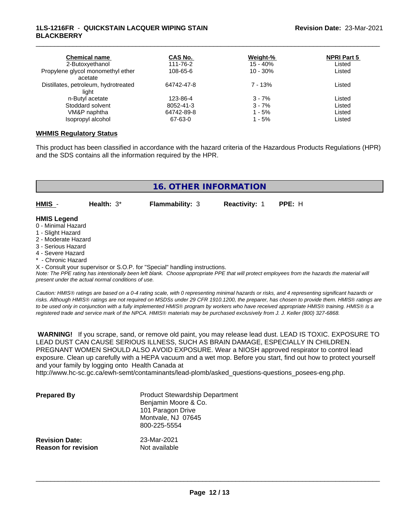### **1LS-1216FR** - **QUICKSTAIN LACQUER WIPING STAIN BLACKBERRY**

| <b>Chemical name</b><br>2-Butoxyethanol | CAS No.<br>111-76-2 | Weight-%<br>$15 - 40%$ | <b>NPRI Part 5</b><br>Listed |  |
|-----------------------------------------|---------------------|------------------------|------------------------------|--|
| Propylene glycol monomethyl ether       | 108-65-6            | $10 - 30%$             | Listed                       |  |
| acetate                                 |                     |                        |                              |  |
| Distillates, petroleum, hydrotreated    | 64742-47-8          | $7 - 13%$              | Listed                       |  |
| light                                   |                     |                        |                              |  |
| n-Butyl acetate                         | 123-86-4            | $3 - 7%$               | Listed                       |  |
| Stoddard solvent                        | 8052-41-3           | $3 - 7%$               | Listed                       |  |
| VM&P naphtha                            | 64742-89-8          | $1 - 5%$               | Listed                       |  |
| Isopropyl alcohol                       | 67-63-0             | $1 - 5%$               | Listed                       |  |

\_\_\_\_\_\_\_\_\_\_\_\_\_\_\_\_\_\_\_\_\_\_\_\_\_\_\_\_\_\_\_\_\_\_\_\_\_\_\_\_\_\_\_\_\_\_\_\_\_\_\_\_\_\_\_\_\_\_\_\_\_\_\_\_\_\_\_\_\_\_\_\_\_\_\_\_\_\_\_\_\_\_\_\_\_\_\_\_\_\_\_\_\_

#### **WHMIS Regulatory Status**

This product has been classified in accordance with the hazard criteria of the Hazardous Products Regulations (HPR) and the SDS contains all the information required by the HPR.

| Health: $3^*$<br><b>Flammability: 3</b><br><b>Reactivity: 1</b><br>PPE: H | <b>16. OTHER INFORMATION</b> |  |  |  |  |  |
|---------------------------------------------------------------------------|------------------------------|--|--|--|--|--|
| <b>HMIS Legend</b><br>0 - Minimal Hazard<br>1 - Slight Hazard             | HMIS -                       |  |  |  |  |  |
|                                                                           |                              |  |  |  |  |  |
|                                                                           | 2 - Moderate Hazard          |  |  |  |  |  |

- 3 Serious Hazard
- 4 Severe Hazard
- **Chronic Hazard**

X - Consult your supervisor or S.O.P. for "Special" handling instructions.

*Note: The PPE rating has intentionally been left blank. Choose appropriate PPE that will protect employees from the hazards the material will present under the actual normal conditions of use.*

*Caution: HMISÒ ratings are based on a 0-4 rating scale, with 0 representing minimal hazards or risks, and 4 representing significant hazards or risks. Although HMISÒ ratings are not required on MSDSs under 29 CFR 1910.1200, the preparer, has chosen to provide them. HMISÒ ratings are to be used only in conjunction with a fully implemented HMISÒ program by workers who have received appropriate HMISÒ training. HMISÒ is a registered trade and service mark of the NPCA. HMISÒ materials may be purchased exclusively from J. J. Keller (800) 327-6868.*

 **WARNING!** If you scrape, sand, or remove old paint, you may release lead dust. LEAD IS TOXIC. EXPOSURE TO LEAD DUST CAN CAUSE SERIOUS ILLNESS, SUCH AS BRAIN DAMAGE, ESPECIALLY IN CHILDREN. PREGNANT WOMEN SHOULD ALSO AVOID EXPOSURE. Wear a NIOSH approved respirator to control lead exposure. Clean up carefully with a HEPA vacuum and a wet mop. Before you start, find out how to protect yourself and your family by logging onto Health Canada at

http://www.hc-sc.gc.ca/ewh-semt/contaminants/lead-plomb/asked\_questions-questions\_posees-eng.php.

| <b>Prepared By</b>                                  | <b>Product Stewardship Department</b><br>Benjamin Moore & Co.<br>101 Paragon Drive<br>Montvale, NJ 07645<br>800-225-5554 |  |
|-----------------------------------------------------|--------------------------------------------------------------------------------------------------------------------------|--|
| <b>Revision Date:</b><br><b>Reason for revision</b> | 23-Mar-2021<br>Not available                                                                                             |  |